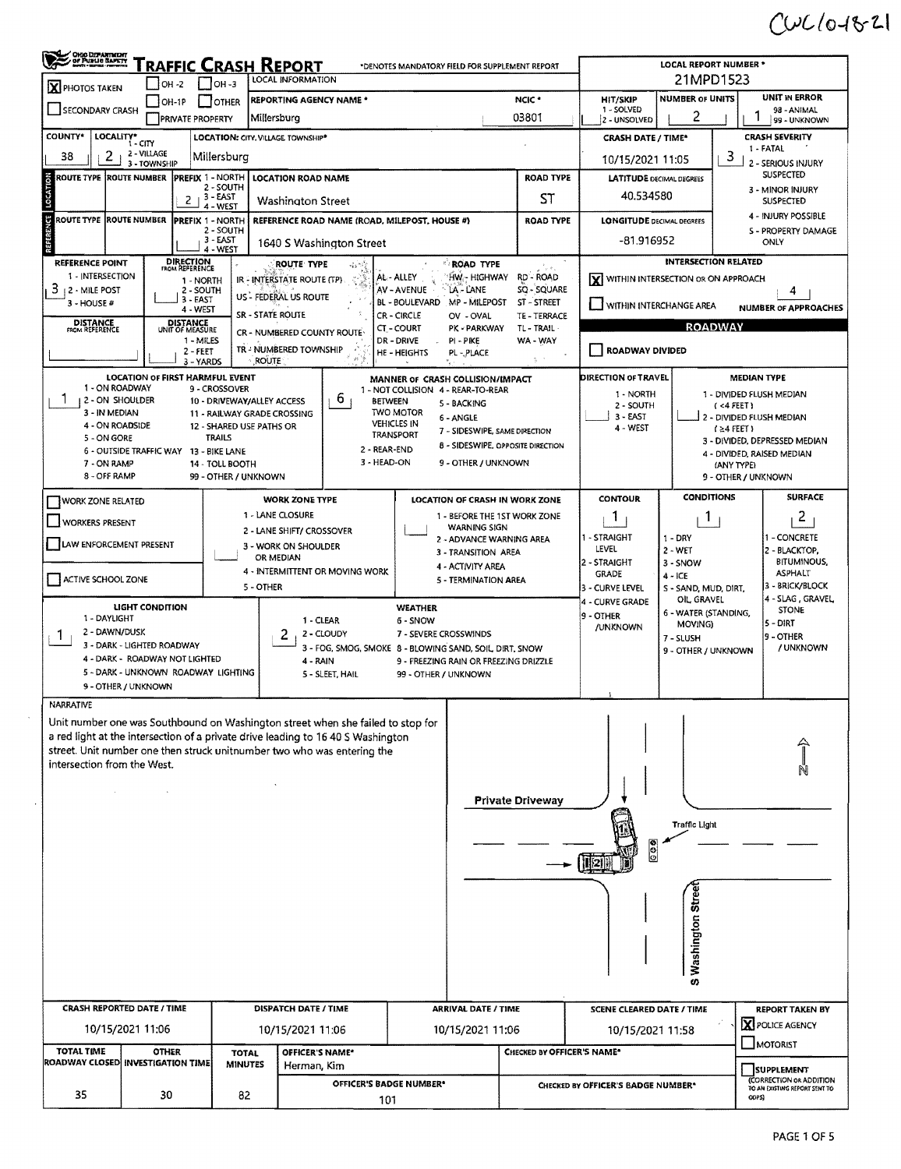## $C461821$

| OHIO DEPARTMENT                                                                                                                                                     | $IOH -2$                                                              | $IOH - 3$                                       | <b>FRAFFIC CRASH REPORT</b><br>LOCAL INFORMATION          |                             | *DENOTES MANDATORY FIELD FOR SUPPLEMENT REPORT                            |                                   |                                                     | <b>LOCAL REPORT NUMBER *</b><br>21MPD1523                    |                                                                               |  |  |
|---------------------------------------------------------------------------------------------------------------------------------------------------------------------|-----------------------------------------------------------------------|-------------------------------------------------|-----------------------------------------------------------|-----------------------------|---------------------------------------------------------------------------|-----------------------------------|-----------------------------------------------------|--------------------------------------------------------------|-------------------------------------------------------------------------------|--|--|
| <b>X</b> PHOTOS TAKEN<br><b>REPORTING AGENCY NAME *</b><br>$IOH-1P$<br>OTHER                                                                                        |                                                                       |                                                 |                                                           |                             |                                                                           | NCIC <sup>+</sup>                 | UNIT IN ERROR<br><b>NUMBER OF UNITS</b><br>HIT/SKIP |                                                              |                                                                               |  |  |
| SECONDARY CRASH                                                                                                                                                     |                                                                       | <b>PRIVATE PROPERTY</b>                         | Millersburg                                               |                             |                                                                           | 03801                             | 1 - SOLVED<br>2 - UNSOLVED                          | 2                                                            | 98 - ANIMAL<br>99 - UNKNOWN                                                   |  |  |
| <b>COUNTY*</b>                                                                                                                                                      | LOCALITY*                                                             |                                                 | LOCATION: CITY, VILLAGE TOWNSHIP*                         |                             |                                                                           |                                   | <b>CRASH DATE / TIME*</b>                           |                                                              | <b>CRASH SEVERITY</b>                                                         |  |  |
| 2<br>38                                                                                                                                                             | 2 - VILLAGE                                                           | Millersburg                                     |                                                           |                             |                                                                           |                                   | 10/15/2021 11:05                                    |                                                              | 1 - FATAL<br>3<br>2 - SERIOUS INJURY                                          |  |  |
| <b>ROUTE TYPE</b>                                                                                                                                                   | 3 - TOWNSHIP<br><b>ROUTE NUMBER</b>                                   | PREFIX 1 - NORTH                                | <b>LOCATION ROAD NAME</b>                                 |                             |                                                                           | <b>ROAD TYPE</b>                  |                                                     | <b>LATITUDE DECIMAL DEGREES</b>                              | <b>SUSPECTED</b>                                                              |  |  |
| LOCAT                                                                                                                                                               |                                                                       | 2 - SOUTH<br>$-3 - EAST$<br>2                   |                                                           |                             |                                                                           | ST                                | 40.534580                                           |                                                              | 3 - MINOR INJURY<br><b>SUSPECTED</b>                                          |  |  |
| 5<br>ROUTE TYPE  ROUTE NUMBER                                                                                                                                       |                                                                       | 4 - WEST<br><b>IPREFIX 1 - NORTH</b>            | Washington Street                                         |                             | REFERENCE ROAD NAME (ROAD, MILEPOST, HOUSE #)                             | <b>ROAD TYPE</b>                  | <b>LONGITUDE DECIMAL DEGREES</b>                    |                                                              | 4 - INJURY POSSIBLE                                                           |  |  |
|                                                                                                                                                                     |                                                                       | 2 - SOUTH<br>3 - EAST                           |                                                           |                             |                                                                           |                                   | -81.916952                                          |                                                              | S - PROPERTY DAMAGE                                                           |  |  |
|                                                                                                                                                                     |                                                                       | 4 - WEST                                        |                                                           | 1640 S Washington Street    |                                                                           |                                   |                                                     |                                                              | ONLY                                                                          |  |  |
| <b>REFERENCE POINT</b><br>1 - INTERSECTION                                                                                                                          |                                                                       | <b>DIRECTION</b><br>FROM REFERENCE<br>1 - NORTH | ROUTE TYPE<br>IR - INTERSTATE ROUTE (TP)                  | ۰Is                         | <b>ROAD TYPE</b><br>'hw.- highway<br>AL - ALLEY                           | le al<br>RD - ROAD                |                                                     | INTERSECTION RELATED<br>X WITHIN INTERSECTION OR ON APPROACH |                                                                               |  |  |
| 3<br>12 - MILE POST                                                                                                                                                 |                                                                       | 2 - SOUTH<br>3 - EAST                           | US - FEDERAL US ROUTE                                     |                             | AV - AVENUE<br>LA - LANE                                                  | SQ - SQUARE                       |                                                     |                                                              | 4                                                                             |  |  |
| $3 - HOUSE#$                                                                                                                                                        |                                                                       | 4 - WEST                                        | SR - STATE ROUTE                                          |                             | MP - MILEPOST<br><b>BL - BOULEVARD</b><br><b>CR - CIRCLE</b><br>OV - OVAL | ST - STREET<br>TE - TERRACE       |                                                     | WITHIN INTERCHANGE AREA                                      | <b>NUMBER OF APPROACHES</b>                                                   |  |  |
| <b>DISTANCE</b><br>FROM REFERENCE                                                                                                                                   |                                                                       | <b>DISTANCE</b><br>UNIT OF MEASURE              | CR - NUMBERED COUNTY ROUTE                                |                             | CT-COURT<br>PK - PARKWAY                                                  | TL - TRAIL                        |                                                     | <b>ROADWAY</b>                                               |                                                                               |  |  |
|                                                                                                                                                                     |                                                                       | 1 - MILES<br>$2 - FEET$                         | TR - NUMBERED TOWNSHIP                                    |                             | DR - DRIVE<br>PI-PIKE<br><b>HE-HEIGHTS</b><br>PL - PLACE                  | WA - WAY                          | ROADWAY DIVIDED                                     |                                                              |                                                                               |  |  |
|                                                                                                                                                                     | LOCATION OF FIRST HARMFUL EVENT                                       | 3 - YARDS                                       | <b>ROUTE</b>                                              |                             |                                                                           |                                   | DIRECTION OF TRAVEL                                 |                                                              | <b>MEDIAN TYPE</b>                                                            |  |  |
| 1 - ON ROADWAY                                                                                                                                                      |                                                                       | 9 - CROSSOVER                                   |                                                           |                             | MANNER OF CRASH COLLISION/IMPACT<br>1 - NOT COLLISION 4 - REAR-TO-REAR    |                                   | 1 - NORTH                                           |                                                              | 1 - DIVIDED FLUSH MEDIAN                                                      |  |  |
| 2 - ON SHOULDER<br>3 - IN MEDIAN                                                                                                                                    |                                                                       |                                                 | 10 - DRIVEWAY/ALLEY ACCESS<br>11 - RAILWAY GRADE CROSSING | b.                          | <b>BETWEEN</b><br>5 - BACKING<br><b>TWO MOTOR</b>                         |                                   | 2 - SOUTH<br>3 - EAST                               |                                                              | $(4$ FEET)                                                                    |  |  |
| 4 - ON ROADSIDE                                                                                                                                                     |                                                                       | 12 - SHARED USE PATHS OR                        |                                                           |                             | 6 - ANGLE<br><b>VEHICLES IN</b><br><b>TRANSPORT</b>                       | 7 - SIDESWIPE, SAME DIRECTION     | 4 - WEST                                            |                                                              | 2 - DIVIDED FLUSH MEDIAN<br>$(24$ FEET)                                       |  |  |
| 5 - ON GORE                                                                                                                                                         | 6 - OUTSIDE TRAFFIC WAY 13 - BIKE LANE                                | <b>TRAILS</b>                                   |                                                           |                             | 2 - REAR-END                                                              | 8 - SIDESWIPE, OPPOSITE DIRECTION |                                                     |                                                              | 3 - DIVIDED, DEPRESSED MEDIAN<br>4 - DIVIDED, RAISED MEDIAN                   |  |  |
| 7 - ON RAMP<br>8 - OFF RAMP                                                                                                                                         |                                                                       | 14 - TOLL BOOTH                                 |                                                           |                             | 3 - HEAD-ON<br>9 - OTHER / UNKNOWN                                        |                                   |                                                     |                                                              | (ANY TYPE)                                                                    |  |  |
|                                                                                                                                                                     |                                                                       | 99 - OTHER / UNKNOWN                            |                                                           |                             |                                                                           |                                   |                                                     | <b>CONDITIONS</b>                                            | 9 - OTHER / UNKNOWN<br><b>SURFACE</b>                                         |  |  |
| <b>WORK ZONE RELATED</b>                                                                                                                                            |                                                                       |                                                 | <b>WORK ZONE TYPE</b><br>1 - LANE CLOSURE                 |                             | LOCATION OF CRASH IN WORK ZONE                                            | 1 - BEFORE THE 1ST WORK ZONE      | <b>CONTOUR</b><br>1                                 | 1                                                            | 2                                                                             |  |  |
| <b>WORKERS PRESENT</b>                                                                                                                                              |                                                                       |                                                 | 2 - LANE SHIFT/ CROSSOVER                                 |                             | WARNING SIGN                                                              |                                   | 1 - STRAIGHT                                        | 1 - DRY                                                      | - CONCRETE                                                                    |  |  |
| LAW ENFORCEMENT PRESENT                                                                                                                                             |                                                                       |                                                 | 3 - WORK ON SHOULDER<br>OR MEDIAN                         |                             | 3 - TRANSITION AREA                                                       | 2 - ADVANCE WARNING AREA          | LEVEL                                               | $2 - WET$                                                    | 2 - BLACKTOP,                                                                 |  |  |
|                                                                                                                                                                     |                                                                       |                                                 | 4 - INTERMITTENT OR MOVING WORK                           |                             | 4 - ACTIVITY AREA                                                         |                                   | 2 - STRAIGHT<br><b>GRADE</b>                        | 3 - SNOW<br>$4 - ICE$                                        | <b>BITUMINOUS.</b><br><b>ASPHALT</b>                                          |  |  |
| ACTIVE SCHOOL ZONE                                                                                                                                                  |                                                                       |                                                 | 5 - OTHER                                                 |                             | 5 - TERMINATION AREA                                                      |                                   | 3 - CURVE LEVEL                                     | S - SAND, MUD, DIRT,                                         | 3 - BRICK/BLOCK                                                               |  |  |
|                                                                                                                                                                     | LIGHT CONDITION                                                       |                                                 |                                                           |                             | <b>WEATHER</b>                                                            |                                   | 4 - CURVE GRADE<br>9 - OTHER                        | OIL, GRAVEL<br>6 - WATER (STANDING,                          | 4 - SLAG, GRAVEL<br><b>STONE</b>                                              |  |  |
| 1 - DAYLIGHT<br>2 - DAWN/DUSK<br>Т.                                                                                                                                 |                                                                       |                                                 |                                                           | 1 - CLEAR<br>2 - CLOUDY     | 6 - SNOW<br>7 - SEVERE CROSSWINDS                                         |                                   | /UNKNOWN                                            | MOVING)                                                      | 5 - DIRT<br>9 - OTHER                                                         |  |  |
|                                                                                                                                                                     | 3 - DARK - LIGHTED ROADWAY                                            |                                                 |                                                           |                             | 3 - FOG, SMOG, SMOKE 8 - BLOWING SAND, SOIL, DIRT, SNOW                   |                                   |                                                     | 7 - SLUSH<br>9 - OTHER / UNKNOWN                             | / UNKNOWN                                                                     |  |  |
|                                                                                                                                                                     | 4 - DARK - ROADWAY NOT LIGHTED<br>5 - DARK - UNKNOWN ROADWAY LIGHTING |                                                 |                                                           | 4 - RAIN<br>5 - SLEET, HAIL | 9 - FREEZING RAIN OR FREEZING DRIZZLE<br>99 - OTHER / UNKNOWN             |                                   |                                                     |                                                              |                                                                               |  |  |
|                                                                                                                                                                     | 9 - OTHER / UNKNOWN                                                   |                                                 |                                                           |                             |                                                                           |                                   |                                                     |                                                              |                                                                               |  |  |
| NARRATIVE                                                                                                                                                           |                                                                       |                                                 |                                                           |                             |                                                                           |                                   |                                                     |                                                              |                                                                               |  |  |
| Unit number one was Southbound on Washington street when she failed to stop for<br>a red light at the intersection of a private drive leading to 16 40 S Washington |                                                                       |                                                 |                                                           |                             |                                                                           |                                   |                                                     |                                                              |                                                                               |  |  |
| street. Unit number one then struck unitnumber two who was entering the                                                                                             |                                                                       |                                                 |                                                           |                             |                                                                           |                                   |                                                     |                                                              |                                                                               |  |  |
| intersection from the West.                                                                                                                                         |                                                                       |                                                 |                                                           |                             |                                                                           |                                   |                                                     |                                                              |                                                                               |  |  |
|                                                                                                                                                                     |                                                                       |                                                 |                                                           |                             |                                                                           | <b>Private Driveway</b>           |                                                     |                                                              |                                                                               |  |  |
|                                                                                                                                                                     |                                                                       |                                                 |                                                           |                             |                                                                           |                                   |                                                     |                                                              |                                                                               |  |  |
|                                                                                                                                                                     |                                                                       |                                                 |                                                           |                             |                                                                           |                                   |                                                     | Traffic Light                                                |                                                                               |  |  |
|                                                                                                                                                                     |                                                                       |                                                 |                                                           |                             |                                                                           |                                   | $\frac{8}{9}$<br>$\rightarrow$ $\boxed{121}$        |                                                              |                                                                               |  |  |
|                                                                                                                                                                     |                                                                       |                                                 |                                                           |                             |                                                                           |                                   |                                                     |                                                              |                                                                               |  |  |
|                                                                                                                                                                     |                                                                       |                                                 |                                                           |                             |                                                                           |                                   |                                                     |                                                              |                                                                               |  |  |
|                                                                                                                                                                     |                                                                       |                                                 |                                                           |                             |                                                                           |                                   |                                                     | Washington Stree                                             |                                                                               |  |  |
|                                                                                                                                                                     |                                                                       |                                                 |                                                           |                             |                                                                           |                                   |                                                     |                                                              |                                                                               |  |  |
|                                                                                                                                                                     |                                                                       |                                                 |                                                           |                             |                                                                           |                                   |                                                     |                                                              |                                                                               |  |  |
|                                                                                                                                                                     |                                                                       |                                                 |                                                           |                             |                                                                           |                                   |                                                     | U)                                                           |                                                                               |  |  |
|                                                                                                                                                                     | CRASH REPORTED DATE / TIME                                            |                                                 | <b>DISPATCH DATE / TIME</b>                               |                             | <b>ARRIVAL DATE / TIME</b>                                                |                                   |                                                     |                                                              |                                                                               |  |  |
|                                                                                                                                                                     | 10/15/2021 11:06                                                      |                                                 |                                                           |                             |                                                                           |                                   | <b>SCENE CLEARED DATE / TIME</b>                    |                                                              | <b>REPORT TAKEN BY</b><br><b>X</b> POLICE AGENCY                              |  |  |
|                                                                                                                                                                     |                                                                       |                                                 | 10/15/2021 11:06                                          |                             | 10/15/2021 11:06                                                          |                                   | 10/15/2021 11:58                                    |                                                              | MOTORIST                                                                      |  |  |
| <b>TOTAL TIME</b><br><b>OTHER</b><br><b>TOTAL</b>                                                                                                                   |                                                                       |                                                 | <b>MINUTES</b><br>Herman, Kim                             | OFFICER'S NAME*             |                                                                           | CHECKED BY OFFICER'S NAME*        |                                                     |                                                              |                                                                               |  |  |
| ROADWAY CLOSED INVESTIGATION TIME                                                                                                                                   |                                                                       |                                                 |                                                           |                             |                                                                           |                                   |                                                     |                                                              |                                                                               |  |  |
|                                                                                                                                                                     |                                                                       |                                                 |                                                           |                             | <b>OFFICER'S BADGE NUMBER*</b>                                            |                                   | CHECKED BY OFFICER'S BADGE NUMBER*                  |                                                              | <b>SUPPLEMENT</b><br>(CORRECTION OR ADDITION<br>TO AN EXISTING REPORT SENT TO |  |  |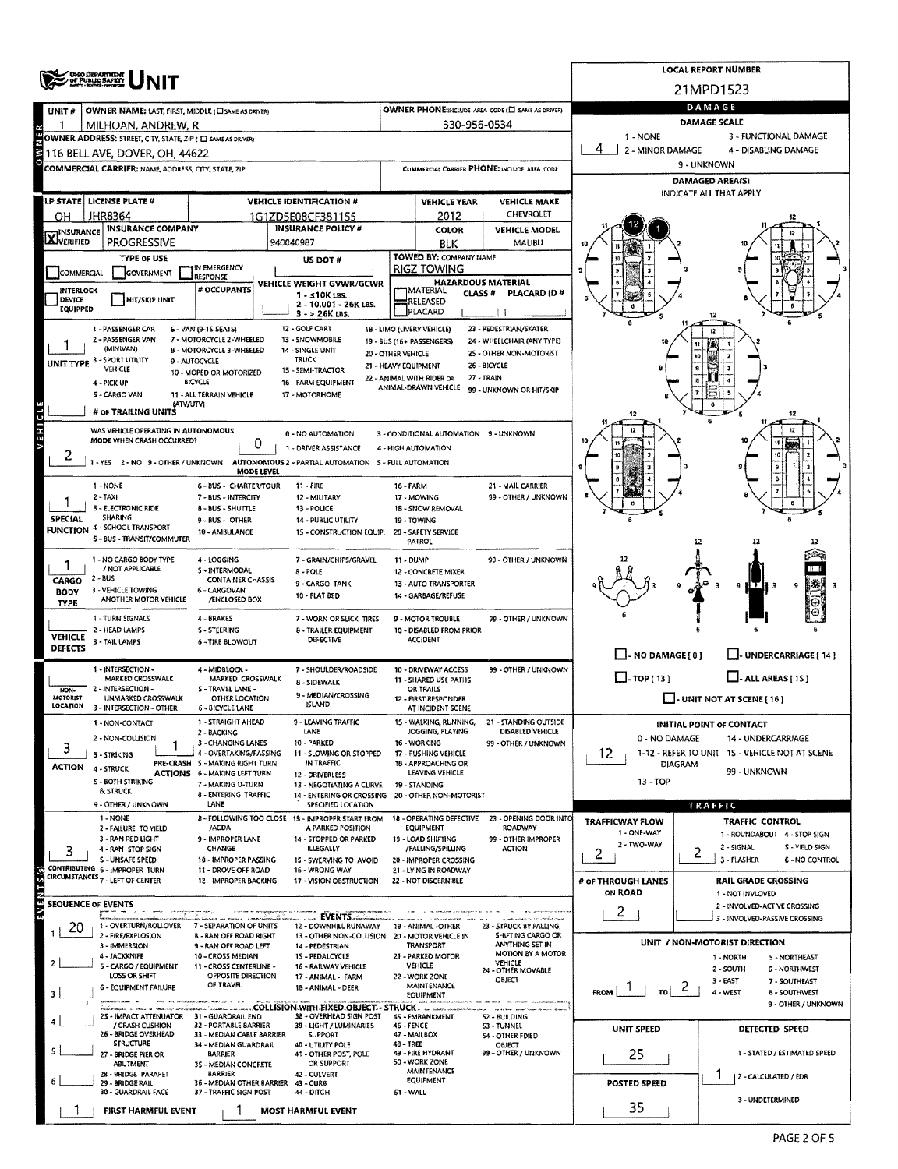|                                  | <b>OHIO DEPARTMENT</b><br>OF PUBLIC SAFETY                                                     |                                                               |                                                                         |                                                                              |                                                         |                                                       |                                                   | <b>LOCAL REPORT NUMBER</b>                                           |  |  |  |  |  |  |
|----------------------------------|------------------------------------------------------------------------------------------------|---------------------------------------------------------------|-------------------------------------------------------------------------|------------------------------------------------------------------------------|---------------------------------------------------------|-------------------------------------------------------|---------------------------------------------------|----------------------------------------------------------------------|--|--|--|--|--|--|
|                                  |                                                                                                |                                                               |                                                                         |                                                                              |                                                         |                                                       |                                                   | 21MPD1523                                                            |  |  |  |  |  |  |
| UNIT#                            | OWNER NAME: LAST, FIRST, MIDDLE (C) SAME AS DRIVER)                                            |                                                               | OWNER PHONE:INCLUDE AREA CODE (E) SAME AS DRIVER)                       | DAMAGE                                                                       |                                                         |                                                       |                                                   |                                                                      |  |  |  |  |  |  |
|                                  | MILHOAN, ANDREW, R                                                                             |                                                               |                                                                         |                                                                              | 330-956-0534                                            |                                                       | DAMAGE SCALE<br>1 - NONE<br>3 - FUNCTIONAL DAMAGE |                                                                      |  |  |  |  |  |  |
|                                  | OWNER ADDRESS: STREET, CITY, STATE, ZIP ( C) SAME AS DRIVERY<br>116 BELL AVE, DOVER, OH, 44622 |                                                               |                                                                         | 2 - MINOR DAMAGE<br>4 - DISABLING DAMAGE                                     |                                                         |                                                       |                                                   |                                                                      |  |  |  |  |  |  |
|                                  | COMMERCIAL CARRIER: NAME, ADDRESS, CITY, STATE, ZIP                                            |                                                               | <b>COMMERGAL CARRIER PHONE: INCLUDE AREA CODE</b>                       | 9 - UNKNOWN                                                                  |                                                         |                                                       |                                                   |                                                                      |  |  |  |  |  |  |
|                                  |                                                                                                |                                                               |                                                                         |                                                                              | <b>DAMAGED AREA(S)</b>                                  |                                                       |                                                   |                                                                      |  |  |  |  |  |  |
|                                  | LP STATE   LICENSE PLATE #                                                                     |                                                               | <b>VEHICLE IDENTIFICATION #</b>                                         | <b>VEHICLE YEAR</b><br><b>VEHICLE MAKE</b>                                   |                                                         |                                                       |                                                   | INDICATE ALL THAT APPLY                                              |  |  |  |  |  |  |
| он                               | JHR8364                                                                                        |                                                               | 1G1ZD5E08CF381155                                                       | CHEVROLET<br>2012                                                            |                                                         |                                                       |                                                   |                                                                      |  |  |  |  |  |  |
| <b>INSURANCE</b><br>XVERIFIED    | <b>INSURANCE COMPANY</b><br><b>PROGRESSIVE</b>                                                 |                                                               | <b>INSURANCE POLICY #</b><br>940040987                                  |                                                                              | <b>COLOR</b><br><b>BLK</b>                              | <b>VEHICLE MODEL</b><br>MALIBU                        |                                                   |                                                                      |  |  |  |  |  |  |
|                                  | <b>TYPE OF USE</b>                                                                             |                                                               | US DOT #                                                                |                                                                              | TOWED BY: COMPANY NAME                                  |                                                       |                                                   |                                                                      |  |  |  |  |  |  |
|                                  | GOVERNMENT<br>COMMERCIAL                                                                       | IN EMERGENCY<br>RESPONSE                                      |                                                                         |                                                                              | <b>RIGZ TOWING</b>                                      |                                                       |                                                   |                                                                      |  |  |  |  |  |  |
| <b>INTERLOCK</b>                 |                                                                                                | # OCCUPANTS                                                   | VEHICLE WEIGHT GVWR/GCWR<br>$1 - 510K105$ .                             |                                                                              | <b>HAZARDOUS MATERIAL</b><br> MATERIAL<br><b>CLASS#</b> | <b>PLACARD ID#</b>                                    |                                                   |                                                                      |  |  |  |  |  |  |
| <b>DEVICE</b><br><b>EQUIPPED</b> | <b>HIT/SKIP UNIT</b>                                                                           |                                                               | 2 - 10.001 - 26K LBS.<br>$3 - 26K$ LBS.                                 |                                                                              | RELEASED<br>PLACARD                                     |                                                       |                                                   |                                                                      |  |  |  |  |  |  |
|                                  | 1 - PASSENGER CAR                                                                              | 6 - VAN (9-15 SEATS)                                          | 12 - GOLF CART                                                          |                                                                              | 18 LIMO (LIVERY VEHICLE)                                | 23 - PEDESTRIAN/SKATER                                |                                                   | 12                                                                   |  |  |  |  |  |  |
|                                  | 2 - PASSENGER VAN<br>(MINIVAN)                                                                 | 7 - MOTORCYCLE 2-WHEELED<br>8 - MOTORCYCLE 3-WHEELED          | 13 - SNOWMOBILE<br>14 - SINGLE UNIT                                     | 20 - OTHER VEHICLE                                                           | 19 - BUS (16+ PASSENGERS)                               | 24 - WHEELCHAIR (ANY TYPE)<br>25 - OTHER NON-MOTORIST |                                                   | ИN                                                                   |  |  |  |  |  |  |
|                                  | UNIT TYPE 3 - SPORT UTILITY<br>VEHICLE                                                         | 9 - AUTOCYCLE                                                 | <b>TRUCK</b><br>15 - SEMI-TRACTOR                                       |                                                                              | 21 - HEAVY EQUIPMENT                                    | 26 - BICYCLE                                          |                                                   | 10                                                                   |  |  |  |  |  |  |
|                                  | 4 - PICK UP                                                                                    | 10 - MOPED OR MOTORIZED<br><b>BICYCLE</b>                     | 16 - FARM EQUIPMENT                                                     |                                                                              | 22 - ANIMAL WITH RIDER OR<br>ANIMAL-DRAWN VEHICLE       | <b>27 - TRAIN</b><br>99 - UNKNOWN OR HIT/SKIP         |                                                   |                                                                      |  |  |  |  |  |  |
|                                  | S - CARGO VAN<br>(ATV/UTV)                                                                     | 11 - ALL TERRAIN VEHICLE                                      | 17 - MOTORHOME                                                          |                                                                              |                                                         |                                                       |                                                   |                                                                      |  |  |  |  |  |  |
|                                  | # OF TRAILING UNITS                                                                            |                                                               |                                                                         |                                                                              |                                                         |                                                       |                                                   |                                                                      |  |  |  |  |  |  |
| VEHICL                           | WAS VEHICLE OPERATING IN AUTONOMOUS<br>MODE WHEN CRASH OCCURRED?                               | 0                                                             | 0 - NO AUTOMATION                                                       |                                                                              | 3 - CONDITIONAL AUTOMATION 9 - UNKNOWN                  |                                                       |                                                   |                                                                      |  |  |  |  |  |  |
| 2                                | 1 - YES 2 - NO 9 - OTHER / UNKNOWN                                                             |                                                               | 1 - DRIVER ASSISTANCE                                                   | 4 - HIGH AUTOMATION<br>AUTONOMOUS 2 ~ PARTIAL AUTOMATION 5 - FULL AUTOMATION |                                                         |                                                       |                                                   |                                                                      |  |  |  |  |  |  |
|                                  |                                                                                                | <b>MODE LEVEL</b>                                             |                                                                         |                                                                              |                                                         |                                                       |                                                   |                                                                      |  |  |  |  |  |  |
|                                  | 1 - NONE<br>$2 - TAXI$                                                                         | 6 - BUS - CHARTER/TOUR<br>7 - BUS - INTERCITY                 | $11 -$ FIRE<br>12 - MILITARY                                            | 16 - FARM                                                                    | 17 - MOWING                                             | 21 - MAIL CARRIER<br>99 - OTHER / UNKNOWN             |                                                   |                                                                      |  |  |  |  |  |  |
|                                  | 3 - ELECTRONIC RIDE                                                                            | <b>8 - BUS - SHUTTLE</b>                                      | 13 - POLICE                                                             |                                                                              | 18 - SNOW REMOVAL                                       |                                                       |                                                   |                                                                      |  |  |  |  |  |  |
| <b>SPECIAL</b>                   | SHARING<br><b>FUNCTION 4 - SCHOOL TRANSPORT</b>                                                | 9 - BUS - OTHER<br>10 - AMBULANCE                             | 14 - PUBLIC UTILITY<br>15 - CONSTRUCTION EQUIP.                         |                                                                              | 19 - TOWING<br>20 - SAFETY SERVICE                      |                                                       |                                                   |                                                                      |  |  |  |  |  |  |
|                                  | S - BUS - TRANSIT/COMMUTER                                                                     |                                                               |                                                                         |                                                                              | PATROL                                                  |                                                       |                                                   | 12                                                                   |  |  |  |  |  |  |
|                                  | 1 - NO CARGO BODY TYPE<br>/ NOT APPLICABLE                                                     | 4 - LOGGING<br>S - INTERMODAL                                 | 7 - GRAIN/CHIPS/GRAVEL                                                  | 11 - DUMP                                                                    |                                                         | 99 - OTHER / UNKNOWN                                  |                                                   |                                                                      |  |  |  |  |  |  |
| CARGO                            | $2 - BUS$                                                                                      | <b>CONTAINER CHASSIS</b>                                      | 8 - POLE<br>9 - CARGO TANK                                              |                                                                              | 12 - CONCRETE MIXER<br>13 - AUTO TRANSPORTER            |                                                       |                                                   | 9                                                                    |  |  |  |  |  |  |
| <b>BODY</b><br><b>TYPE</b>       | 3 - VEHICLE TOWING<br>ANOTHER MOTOR VEHICLE                                                    | 6 - CARGOVAN<br>/ENCLOSED BOX                                 | 10 - FLAT BED                                                           |                                                                              | 14 - GARBAGE/REFUSE                                     |                                                       |                                                   |                                                                      |  |  |  |  |  |  |
|                                  | 1 - TURN SIGNALS                                                                               | 4 - BRAKES                                                    | 7 - WORN OR SLICK TIRES                                                 |                                                                              | 9 - MOTOR TROUBLE                                       | 99 - OTHER / UNKNOWN                                  |                                                   |                                                                      |  |  |  |  |  |  |
| <b>VEHICLE</b>                   | 2 - HEAD LAMPS<br>3 - TAIL LAMPS                                                               | S - STEERING<br><b>6 - TIRE BLOWOUT</b>                       | <b>8 - TRAILER EQUIPMENT</b><br>DEFECTIVE                               |                                                                              | 10 - DISABLED FROM PRIOR<br><b>ACCIDENT</b>             |                                                       |                                                   |                                                                      |  |  |  |  |  |  |
| DEFECTS                          |                                                                                                |                                                               |                                                                         |                                                                              |                                                         |                                                       | $\Box$ - NO DAMAGE [ 0 ]                          | J-UNDERCARRIAGE [ 14 ]                                               |  |  |  |  |  |  |
|                                  | 1 - INTERSECTION -<br><b>MARKED CROSSWALK</b>                                                  | 4 - MIDBLOCK -<br>MARKED CROSSWALK                            | 7 - SHOULDER/ROADSIDE                                                   |                                                                              | 10 - DRIVEWAY ACCESS<br>11 - SHARED USE PATHS           | 99 - OTHER / UNKNOWN                                  | $\Box$ -TOP(13)                                   | $\Box$ - ALL AREAS [ 15 ]                                            |  |  |  |  |  |  |
| NON-<br><b>MOTORIST</b>          | 2 - INTERSECTION -<br><b>UNMARKED CROSSWALK</b>                                                | S - TRAVEL LANE -<br>OTHER LOCATION                           | <b>8 - SIDEWALK</b><br>9 - MEDIAN/CROSSING                              |                                                                              | OR TRAILS<br>12 - FIRST RESPONDER                       |                                                       |                                                   | $\Box$ - UNIT NOT AT SCENE [ 16 ]                                    |  |  |  |  |  |  |
| LOCATION                         | 3 - INTERSECTION - OTHER                                                                       | 6 - BICYCLE LANE                                              | ISLAND                                                                  |                                                                              | AT INCIDENT SCENE                                       |                                                       |                                                   |                                                                      |  |  |  |  |  |  |
|                                  | 1 - NON-CONTACT                                                                                | 1 - STRAIGHT AHEAD<br>2 - BACKING                             | 9 - LEAVING TRAFFIC<br>LANE                                             |                                                                              | 15 - WALKING, RUNNING,<br>JOGGING, PLAYING              | 21 - STANDING OUTSIDE<br>DISABLED VEHICLE             |                                                   | <b>INITIAL POINT OF CONTACT</b>                                      |  |  |  |  |  |  |
| 3                                | 2 - NON-COLLISION<br>3 - STRIKING                                                              | 3 - CHANGING LANES<br>4 - OVERTAKING/PASSING                  | 10 - PARKED<br>11 - SLOWING OR STOPPED                                  |                                                                              | 16 - WORKING<br>17 - PUSHING VEHICLE                    | 99 - OTHER / UNKNOWN                                  | 0 - NO DAMAGE<br>12                               | 14 - UNDERCARRIAGE<br>1-12 - REFER TO UNIT 1S - VEHICLE NOT AT SCENE |  |  |  |  |  |  |
| <b>ACTION</b>                    | 4 - STRUCK                                                                                     | PRE-CRASH S - MAKING RIGHT TURN                               | IN TRAFFIC                                                              |                                                                              | 18 - APPROACHING OR<br>LEAVING VEHICLE                  |                                                       | <b>DIAGRAM</b>                                    | 99 - UNKNOWN                                                         |  |  |  |  |  |  |
|                                  | S - BOTH STRIKING<br><b>&amp; STRUCK</b>                                                       | <b>ACTIONS 6 - MAKING LEFT TURN</b><br>7 - MAKING U-TURN      | 12 - DRIVERLESS<br>13 - NEGOTIATING A CURVE                             |                                                                              | 19 - STANDING                                           |                                                       | 13 - TOP                                          |                                                                      |  |  |  |  |  |  |
|                                  | 9 - OTHER / UNKNOWN                                                                            | 8 - ENTERING TRAFFIC<br>LANE                                  | 14 - ENTERING OR CROSSING 20 - OTHER NON-MOTORIST<br>SPECIFIED LOCATION |                                                                              |                                                         |                                                       |                                                   | TRAFFIC                                                              |  |  |  |  |  |  |
|                                  | 1 - NONE                                                                                       | /ACDA                                                         | <b>B - FOLLOWING TOO CLOSE 13 - IMPROPER START FROM</b>                 |                                                                              | 18 - OPERATING DEFECTIVE<br><b>EQUIPMENT</b>            | 23 - OPENING DOOR INTO<br><b>ROADWAY</b>              | <b>TRAFFICWAY FLOW</b>                            | <b>TRAFFIC CONTROL</b>                                               |  |  |  |  |  |  |
|                                  | 2 - FAILURE TO VIELD<br>3 - RAN RED LIGHT                                                      | 9 - IMPROPER LANE                                             | A PARKED POSITION<br>14 - STOPPED OR PARKED                             |                                                                              | 19 - LOAD SHIFTING                                      | 99 - OTHER IMPROPER                                   | 1 - ONE-WAY<br>2 - TWO-WAY                        | 1 - ROUNDABOUT 4 - STOP SIGN                                         |  |  |  |  |  |  |
| 3                                | 4 - RAN STOP SIGN<br>S - UNSAFE SPEED                                                          | CHANGE<br>10 - IMPROPER PASSING                               | <b>ILLEGALLY</b><br>15 - SWERVING TO AVOID                              |                                                                              | /FALLING/SPILLING<br>20 - IMPROPER CROSSING             | <b>ACTION</b>                                         | 2                                                 | 2 - SIGNAL<br>S - YIELD SIGN<br>2<br>3 - FLASHER<br>6 - NO CONTROL   |  |  |  |  |  |  |
|                                  | CONTRIBUTING 6 - IMPROPER TURN<br>CIRCUMSTANCES <sub>7</sub> - LEFT OF CENTER                  | 11 - DROVE OFF ROAD<br>12 - IMPROPER BACKING                  | 16 - WRONG WAY<br>17 - VISION OBSTRUCTION                               |                                                                              | 21 - LYING IN ROADWAY<br>22 - NOT DISCERNIBLE           |                                                       | # OF THROUGH LANES                                | <b>RAIL GRADE CROSSING</b>                                           |  |  |  |  |  |  |
| <b>SIS</b>                       |                                                                                                |                                                               |                                                                         |                                                                              |                                                         |                                                       | ON ROAD                                           | 1 - NOT INVLOVED                                                     |  |  |  |  |  |  |
| 忌                                | <b>SEQUENCE OF EVENTS</b>                                                                      |                                                               | <b> EVENTS</b>                                                          |                                                                              |                                                         |                                                       | 2                                                 | 2 - INVOLVED-ACTIVE CROSSING<br>3 - INVOLVED-PASSIVE CROSSING        |  |  |  |  |  |  |
| 20                               | 1 - OVERTURN/ROLLOVER<br>2 - FIRE/EXPLOSION                                                    | 7 - SEPARATION OF UNITS<br><b>B - RAN OFF ROAD RIGHT</b>      | 12 - DOWNHILL RUNAWAY<br>13 - OTHER NON-COLLISION 20 - MOTOR VEHICLE IN |                                                                              | 19 - ANIMAL -OTHER                                      | 23 - STRUCK BY FALLING,<br><b>SHIFTING CARGO OR</b>   |                                                   |                                                                      |  |  |  |  |  |  |
|                                  | 3 - IMMERSION                                                                                  | 9 - RAN OFF ROAD LEFT                                         | 14 - PEDESTRIAN                                                         |                                                                              | <b>TRANSPORT</b>                                        | ANYTHING SET IN<br><b>MOTION BY A MOTOR</b>           |                                                   | UNIT / NON-MOTORIST DIRECTION                                        |  |  |  |  |  |  |
|                                  | 4 - JACKKNIFE<br>5 - CARGO / EQUIPMENT                                                         | 10 - CROSS MEDIAN<br>11 - CROSS CENTERLINE -                  | 15 - PEDALCYCLE<br>16 - RAILWAY VEHICLE                                 |                                                                              | 21 - PARKED MOTOR<br><b>VEHICLE</b>                     | <b>VEHICLE</b><br>24 - OTHER MOVABLE                  |                                                   | 1 - NORTH<br>5 - NORTHEAST<br>2 - SOUTH<br><b>6 - NORTHWEST</b>      |  |  |  |  |  |  |
|                                  | LOSS OR SHIFT<br>6 - EQUIPMENT FAILURE                                                         | OPPOSITE DIRECTION<br>OF TRAVEL                               | 17 - ANIMAL - FARM<br>18 - ANIMAL - DEER                                |                                                                              | 22 - WORK ZONE<br><b>MAINTENANCE</b>                    | OBJECT                                                | $\epsilon$                                        | $3 - EAST$<br>7 - SOUTHEAST                                          |  |  |  |  |  |  |
|                                  |                                                                                                |                                                               | COLLISION WITH FIXED OBJECT - STRUCK.                                   |                                                                              | EQUIPMENT                                               |                                                       | TO I<br><b>FROM</b>                               | 4 - WEST<br><b>B-SOUTHWEST</b><br>9 - OTHER / UNKNOWN                |  |  |  |  |  |  |
|                                  | 25 - IMPACT ATTENUATOR 31 - GUARDRAIL END<br>/ CRASH CUSHION                                   | 32 - PORTABLE BARRIER                                         | 38 - OVERHEAD SIGN POST<br>39 - LIGHT / LUMINARIES                      | 46 - FENCE                                                                   | 45 - EMBANKMENT                                         | <b>S2 - BUILDING</b><br>53 - TUNNEL                   |                                                   |                                                                      |  |  |  |  |  |  |
|                                  | 26 - BRIDGE OVERHEAD<br><b>STRUCTURE</b>                                                       | 33 - MEDIAN CABLE BARRIER                                     | <b>SUPPORT</b>                                                          | 48 - TREE                                                                    | 47 MAILBOX                                              | 54 - OTHER FIXED                                      | UNIT SPEED                                        | <b>DETECTED SPEED</b>                                                |  |  |  |  |  |  |
|                                  | 27 - BRIDGE PIER OR                                                                            | 34 - MEDIAN GUARDRAIL<br><b>BARRIER</b>                       | 40 - UTILITY POLE<br>41 - OTHER POST, POLE                              |                                                                              | 49 - FIRE HYDRANT                                       | OBJECT<br>99 - OTHER / UNKNOWN                        | 25                                                | 1 - STATED / ESTIMATED SPEED                                         |  |  |  |  |  |  |
|                                  | ABUTMENT<br>2B - BRIDGE PARAPET                                                                | 3S - MEDIAN CONCRETE<br><b>BARRIER</b>                        | OR SUPPORT<br>42 - CULVERT                                              |                                                                              | 50 - WORK ZONE<br><b>MAINTENANCE</b>                    |                                                       |                                                   | 2 - CALCULATED / EDR                                                 |  |  |  |  |  |  |
|                                  | 29 - BRIDGE RAIL<br>30 - GUARDRAIL FACE                                                        | 36 - MEDIAN OTHER BARRIER 43 - CURB<br>37 - TRAFFIC SIGN POST | 44 - DITCH                                                              | 51 - WALL                                                                    | <b>EQUIPMENT</b>                                        |                                                       | POSTED SPEED                                      |                                                                      |  |  |  |  |  |  |
|                                  | <b>FIRST HARMFUL EVENT</b>                                                                     |                                                               | MOST HARMFUL EVENT                                                      |                                                                              |                                                         |                                                       | 35                                                | 3 - UNDETERMINED                                                     |  |  |  |  |  |  |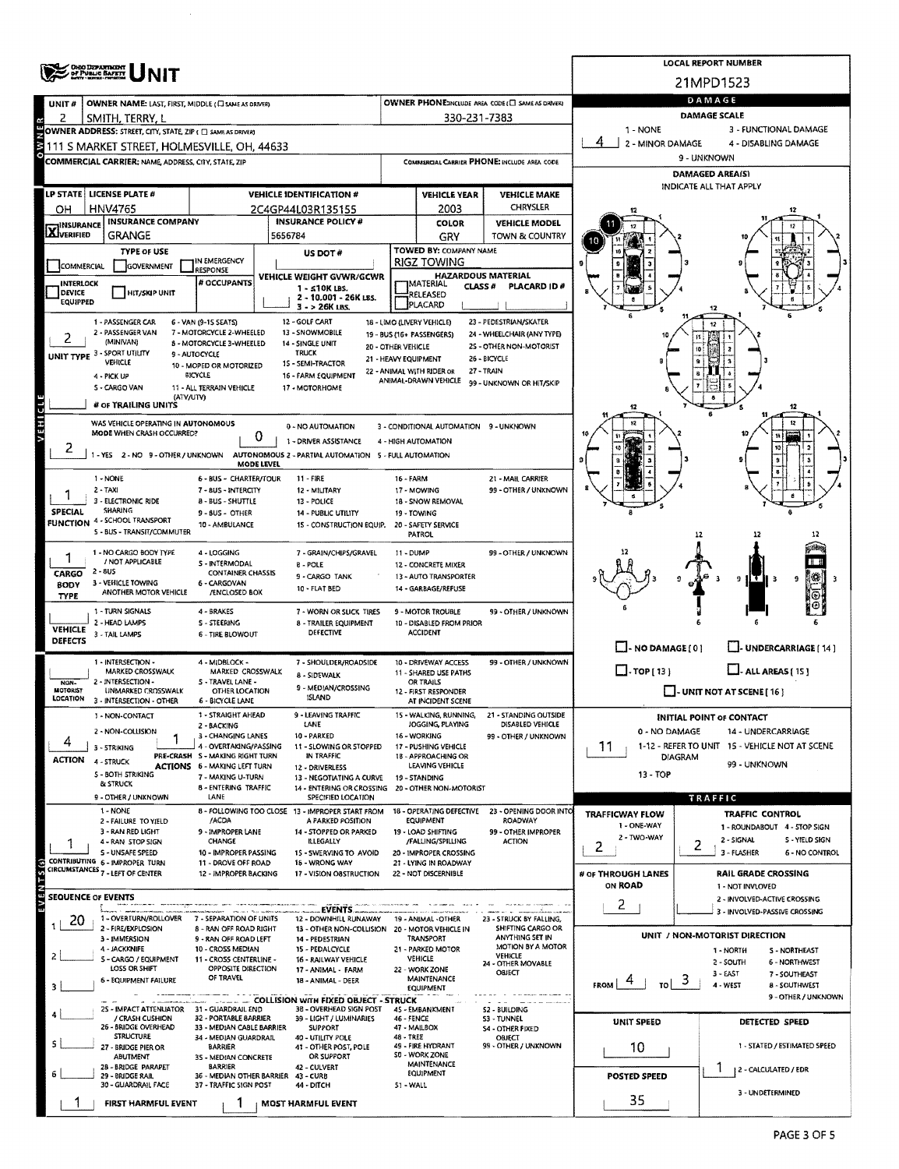|                                  | <b>OHIO DEPARTMENT<br/>DF PUBLIC BAFRIT<br/>BERN LESSE DESIGN</b>              |                                                           | <b>LOCAL REPORT NUMBER</b>                                                                                        |                                                          |                                                      |                                                   |                                          |                                                                           |  |  |  |  |  |
|----------------------------------|--------------------------------------------------------------------------------|-----------------------------------------------------------|-------------------------------------------------------------------------------------------------------------------|----------------------------------------------------------|------------------------------------------------------|---------------------------------------------------|------------------------------------------|---------------------------------------------------------------------------|--|--|--|--|--|
|                                  |                                                                                |                                                           | 21MPD1523                                                                                                         |                                                          |                                                      |                                                   |                                          |                                                                           |  |  |  |  |  |
| UNIT#                            | OWNER NAME: LAST, FIRST, MIDDLE (C) SAME AS DRIVER)                            |                                                           |                                                                                                                   |                                                          |                                                      | OWNER PHONE:INCLUDE AREA CODE (E) SAME AS DRIVER! | DAMAGE<br>DAMAGE SCALE                   |                                                                           |  |  |  |  |  |
| 2                                | SMITH, TERRY, L<br>OWNER ADDRESS: STREET, CITY, STATE, ZIP ( C SAME AS DRIVER) |                                                           |                                                                                                                   |                                                          | 330-231-7383                                         |                                                   | 1 - NONE<br>3 - FUNCTIONAL DAMAGE        |                                                                           |  |  |  |  |  |
|                                  | 111 S MARKET STREET, HOLMESVILLE, OH, 44633                                    |                                                           |                                                                                                                   |                                                          |                                                      |                                                   | 2 - MINOR DAMAGE<br>4 - DISABLING DAMAGE |                                                                           |  |  |  |  |  |
|                                  | <b>COMMERCIAL CARRIER: NAME, ADDRESS, CITY, STATE, ZIP</b>                     |                                                           |                                                                                                                   |                                                          |                                                      | COMMERCIAL CARRIER PHONE: INCLUDE AREA CODE       | 9 - UNKNOWN                              |                                                                           |  |  |  |  |  |
|                                  |                                                                                |                                                           |                                                                                                                   |                                                          |                                                      |                                                   |                                          | <b>DAMAGED AREA(S)</b><br>INDICATE ALL THAT APPLY                         |  |  |  |  |  |
|                                  | LP STATE LICENSE PLATE #                                                       |                                                           | <b>VEHICLE IDENTIFICATION #</b>                                                                                   | <b>VEHICLE YEAR</b><br><b>VEHICLE MAKE</b>               |                                                      |                                                   |                                          |                                                                           |  |  |  |  |  |
| ΟН                               | <b>HNV4765</b><br><b>INSURANCE COMPANY</b>                                     |                                                           | 2C4GP44L03R135155<br><b>INSURANCE POLICY #</b>                                                                    | <b>CHRYSLER</b><br>2003<br><b>VEHICLE MODEL</b><br>COLOR |                                                      |                                                   |                                          |                                                                           |  |  |  |  |  |
| <b>X</b> INSURANCE               | <b>GRANGE</b>                                                                  |                                                           | 5656784                                                                                                           |                                                          | GRY                                                  | TOWN & COUNTRY                                    |                                          |                                                                           |  |  |  |  |  |
|                                  | TYPE OF USE                                                                    | IN EMERGENCY                                              | US DOT#                                                                                                           |                                                          | TOWED BY: COMPANY NAME<br><b>RIGZ TOWING</b>         |                                                   |                                          |                                                                           |  |  |  |  |  |
| <b>COMMERCIAL</b><br>INTERLOCK   | GOVERNMENT                                                                     | <b>RESPONSE</b><br># OCCUPANTS                            | VEHICLE WEIGHT GVWR/GCWR                                                                                          |                                                          | <b>HAZARDOUS MATERIAL</b><br><b>IMATERIAL</b>        |                                                   |                                          |                                                                           |  |  |  |  |  |
| DEVICE<br>EQUIPPED               | <b>HIT/SKIP UNIT</b>                                                           |                                                           | $1 - 510K$ LBS.<br>2 - 10.001 - 26K LBS.                                                                          |                                                          | <b>CLASS#</b><br>RELEASED                            | PLACARD ID#                                       |                                          |                                                                           |  |  |  |  |  |
|                                  | 1 - PASSENGER CAR                                                              | 6 - VAN (9-15 SEATS)                                      | $3 - 26K$ LBS.<br>12 - GOLF CART                                                                                  |                                                          | PLACARD<br>18 - LIMO (LIVERY VEHICLE)                | 23 - PEDESTRIAN/SKATER                            |                                          |                                                                           |  |  |  |  |  |
|                                  | 2 - PASSENGER VAN<br>(MINIVAN)                                                 | 7 - MOTORCYCLE 2-WHEELED                                  | 13 - SNOWMOBILE                                                                                                   |                                                          | 19 - BUS (16+ PASSENGERS)                            | 24 - WHEELCHAIR (ANY TYPE)                        |                                          |                                                                           |  |  |  |  |  |
|                                  | UNIT TYPE 3 - SPORT UTILITY                                                    | 8 - MOTORCYCLE 3-WHEELED<br>9 - AUTOCYCLE                 | 14 - SINGLE UNIT<br><b>TRUCK</b>                                                                                  | 20 - OTHER VEHICLE                                       | 21 - HEAVY EQUIPMENT                                 | 2S - OTHER NON-MOTORIST<br>26 - BICYCLE           |                                          |                                                                           |  |  |  |  |  |
|                                  | <b>VEHICLE</b><br>4 - PICK UP                                                  | 10 - MOPED OR MOTORIZED<br><b>BICYCLE</b>                 | 15 - SEMI-TRACTOR<br>16 - FARM EQUIPMENT                                                                          |                                                          | 22 - ANIMAL WITH RIDER OR<br>ANIMAL-DRAWN VEHICLE    | 27 - TRAIN                                        |                                          |                                                                           |  |  |  |  |  |
|                                  | S - CARGO VAN<br>(ATV/UTV)                                                     | 11 - ALL TERRAIN VEHICLE                                  | 17 - MOTORHOME                                                                                                    |                                                          |                                                      | 99 - UNKNOWN OR HIT/SKIP                          |                                          |                                                                           |  |  |  |  |  |
|                                  | # OF TRAILING UNITS                                                            |                                                           |                                                                                                                   |                                                          |                                                      |                                                   |                                          |                                                                           |  |  |  |  |  |
| VEHICLE                          | WAS VEHICLE OPERATING IN AUTONOMOUS<br>MODE WHEN CRASH OCCURRED?               | 0                                                         | 0 - NO AUTOMATION                                                                                                 |                                                          | 3 - CONDITIONAL AUTOMATION 9 - UNKNOWN               |                                                   |                                          |                                                                           |  |  |  |  |  |
| 2                                |                                                                                |                                                           | 1 - DRIVER ASSISTANCE<br>1 - YES 2 - NO 9 - OTHER / UNKNOWN AUTONOMOUS 2 - PARTIAL AUTOMATION 5 - FULL AUTOMATION |                                                          | 4 - HIGH AUTOMATION                                  |                                                   | <b>to</b>                                |                                                                           |  |  |  |  |  |
|                                  |                                                                                | MODE LEVEL                                                |                                                                                                                   |                                                          |                                                      |                                                   |                                          |                                                                           |  |  |  |  |  |
|                                  | 1 - NONE<br>2 - TAXI                                                           | 6 - BUS - CHARTER/TOUR<br>7 - BUS - INTERCITY             | 11 - FIRE<br>12 - MILITARY                                                                                        | 16 - FARM                                                | 17 - MOWING                                          | 21 - MAIL CARRIER<br>99 - OTHER / UNKNOWN         |                                          |                                                                           |  |  |  |  |  |
| <b>SPECIAL</b>                   | 3 - ELECTRONIC RIDE<br><b>SHARING</b>                                          | 13 - POLICE                                               |                                                                                                                   | 18 - SNOW REMOVAL                                        |                                                      |                                                   |                                          |                                                                           |  |  |  |  |  |
| <b>FUNCTION</b>                  | 4 - SCHOOL TRANSPORT                                                           | 9 - 8US - OTHER<br>10 - AMBULANCE                         | 14 - PUBLIC UTILITY<br>15 - CONSTRUCTION EQUIP.                                                                   |                                                          | 19 - TOWING<br>20 - SAFETY SERVICE                   |                                                   |                                          |                                                                           |  |  |  |  |  |
|                                  | S BUS - TRANSIT/COMMUTER                                                       |                                                           |                                                                                                                   |                                                          | <b>PATROL</b>                                        |                                                   |                                          | 12                                                                        |  |  |  |  |  |
| 1                                | 1 - NO CARGO BODY TYPE<br>/ NOT APPLICABLE                                     | 4 - LOGGING<br><b>S-INTERMODAL</b>                        | 7 - GRAIN/CHIPS/GRAVEL<br><b>B-POLE</b>                                                                           | 11 - DUMP                                                | 12 - CONCRETE MIXER                                  | 99 - OTHER / UNKNOWN                              |                                          |                                                                           |  |  |  |  |  |
| CARGO<br><b>BODY</b>             | $2 - 805$<br>3 - VEHICLE TOWING                                                | <b>CONTAINER CHASSIS</b><br>6 - CARGOVAN                  | 9 - CARGO TANK                                                                                                    |                                                          | 13 - AUTO TRANSPORTER                                |                                                   |                                          | ΙŦ<br>9                                                                   |  |  |  |  |  |
| <b>TYPE</b>                      | ANOTHER MOTOR VEHICLE                                                          | /ENCLOSED BOX                                             | 10 - FLAT BED                                                                                                     |                                                          | 14 - GARBAGE/REFUSE                                  |                                                   |                                          |                                                                           |  |  |  |  |  |
|                                  | 1 - TURN SIGNALS<br>2 - HEAD LAMPS                                             | 4 - BRAKES<br>S - STEERING                                | 7 - WORN OR SUCK TIRES<br><b>8 - TRAILER EQUIPMENT</b>                                                            |                                                          | <b>9 - MOTOR TROUBLE</b><br>10 - DISABLED FROM PRIOR | 99 - OTHER / UNKNOWN                              |                                          |                                                                           |  |  |  |  |  |
| <b>VEHICLE</b><br><b>DEFECTS</b> | 3 - TAIL LAMPS                                                                 | 6 - TIRE BLOWOUT                                          | DEFECTIVE                                                                                                         |                                                          | <b>ACCIDENT</b>                                      |                                                   |                                          |                                                                           |  |  |  |  |  |
|                                  | 1 - INTERSECTION -                                                             | 4 - MIDBLOCK -                                            | 7 - SHOULDER/ROADSIDE                                                                                             |                                                          | 10 - DRIVEWAY ACCESS                                 | 99 - OTHER / UNKNOWN                              | $\Box$ - NO DAMAGE [ 0 ]                 | U-UNDERCARRIAGE [ 14 ]                                                    |  |  |  |  |  |
| NON-                             | <b>MARKED CROSSWALK</b><br>2 - INTERSECTION -                                  | MARKED CROSSWALK<br><b>S-TRAVEL LANE -</b>                | 8 - SIDEWALK                                                                                                      | 11 - SHARED USE PATHS<br>OR TRAILS                       |                                                      |                                                   | $\Box$ -TOP[13]                          | $L$ - ALL AREAS $(15)$                                                    |  |  |  |  |  |
| MOTORIST<br>LOCATION             | UNMARKED CROSSWALK<br>3 - INTERSECTION - OTHER                                 | OTHER LOCATION<br>6 - BICYCLE LANE                        | 9 - MEDIAN/CROSSING<br><b>ISLAND</b>                                                                              | 12 - FIRST RESPONDER<br>AT INCIDENT SCENE                |                                                      |                                                   | $\Box$ - UNIT NOT AT SCENE [ 16 ]        |                                                                           |  |  |  |  |  |
|                                  | 1 - NON-CONTACT                                                                | 1 - STRAIGHT AHEAD                                        | 9 - LEAVING TRAFFIC                                                                                               |                                                          | 15 - WALKING, RUNNING,                               | 21 - STANDING OUTSIDE                             |                                          | <b>INITIAL POINT OF CONTACT</b>                                           |  |  |  |  |  |
|                                  | 2 - NON-COLLISION                                                              | 2 - BACKING<br>3 - CHANGING LANES                         | LANE<br>10 - PARKED                                                                                               |                                                          | JOGGING, PLAYING<br>16 - WORKING                     | DISABLED VEHICLE<br>99 - OTHER / UNKNOWN          | 0 - NO DAMAGE                            | 14 - UNDERCARRIAGE                                                        |  |  |  |  |  |
| <b>ACTION</b>                    | 3 STRIKING                                                                     | 4 - OVERTAKING/PASSING<br>PRE-CRASH S - MAKING RIGHT TURN | 11 - SLOWING OR STOPPED<br>IN TRAFFIC                                                                             |                                                          | 17 - PUSHING VEHICLE<br>18 - APPROACHING OR          |                                                   | 11<br><b>DIAGRAM</b>                     | 1-12 - REFER TO UNIT 15 - VEHICLE NOT AT SCENE                            |  |  |  |  |  |
|                                  | 4 - STRUCK<br>5 - BOTH STRIKING                                                | <b>ACTIONS 6 - MAKING LEFT TURN</b><br>7 - MAKING U-TURN  | 12 - DRIVERLESS<br>13 - NEGOTIATING A CURVE                                                                       |                                                          | LEAVING VEHICLE<br>19 - STANDING                     |                                                   | 99 UNKNOWN<br>13 - TOP                   |                                                                           |  |  |  |  |  |
|                                  | & STRUCK<br>9 - OTHER / UNKNOWN                                                | <b>8 - ENTERING TRAFFIC</b><br>LANE                       | 14 ENTERING OR CROSSING 20 - OTHER NON-MOTORIST<br><b>SPECIFIED LOCATION</b>                                      |                                                          |                                                      |                                                   |                                          |                                                                           |  |  |  |  |  |
|                                  | 1 - NONE                                                                       |                                                           | 8 - FOLLOWING TOO CLOSE 13 - IMPROPER START FROM                                                                  |                                                          | 18 - OPERATING DEFECTIVE                             | 23 - OPENING DOOR INTO                            | <b>TRAFFICWAY FLOW</b>                   | TRAFFIC<br><b>TRAFFIC CONTROL</b>                                         |  |  |  |  |  |
|                                  | 2 - FAILURE TO YIELD<br>3 - RAN RED LIGHT                                      | /ACDA<br>9 - IMPROPER LANE                                | A PARKED POSITION<br>14 - STOPPED OR PARKED                                                                       |                                                          | <b>EQUIPMENT</b><br>19 - LOAD SHIFTING               | <b>ROADWAY</b><br>99 - OTHER IMPROPER             | 1 - ONE-WAY                              | 1 - ROUNDABOUT 4 - STOP SIGN                                              |  |  |  |  |  |
|                                  | 4 - RAN STOP SIGN<br>S - UNSAFE SPEED                                          | CHANGE<br>10 - IMPROPER PASSING                           | ILLEGALLY<br>15 - SWERVING TO AVOID                                                                               |                                                          | /FALLING/SPILLING<br>20 - IMPROPER CROSSING          | <b>ACTION</b>                                     | 2 - TWO-WAY<br>2                         | 2 - SIGNAL<br>S - YIELD SIGN<br>2<br>3 - FLASHER<br><b>6 - NO CONTROL</b> |  |  |  |  |  |
| $(5)$ 5 T                        | CONTRIBUTING 6 - IMPROPER TURN<br>CIRCUMSTANCES 7 - LEFT OF CENTER             | 11 - DROVE OFF ROAD<br>12 - IMPROPER BACKING              | 16 - WRONG WAY<br>17 - VISION OBSTRUCTION                                                                         |                                                          | 21 - LYING IN ROADWAY<br>22 - NOT DISCERNIBLE        |                                                   | # OF THROUGH LANES                       | <b>RAIL GRADE CROSSING</b>                                                |  |  |  |  |  |
|                                  |                                                                                |                                                           |                                                                                                                   |                                                          |                                                      |                                                   | ON ROAD                                  | 1 - NOT INVLOVED                                                          |  |  |  |  |  |
|                                  | SEQUENCE OF EVENTS                                                             |                                                           | EVENTS.                                                                                                           |                                                          |                                                      |                                                   | 2                                        | 2 - INVOLVED-ACTIVE CROSSING<br>3 - INVOLVED-PASSIVE CROSSING             |  |  |  |  |  |
| 20                               | 1 - OVERTURN/ROLLOVER<br>2 - FIRE/EXPLOSION                                    | 7 - SEPARATION OF UNITS<br>8 - RAN OFF ROAD RIGHT         | 12 - DOWNHILL RUNAWAY<br>13 - OTHER NON-COLLISION 20 - MOTOR VEHICLE IN                                           |                                                          | 19 - ANIMAL - OTHER                                  | 23 - STRUCK BY FALLING,<br>SHIFTING CARGO OR      |                                          |                                                                           |  |  |  |  |  |
|                                  | 3 - IMMERSION<br>4 - JACKKNIFE                                                 | 9 - RAN OFF ROAD LEFT<br>10 - CROSS MEDIAN                | 14 - PEDESTRIAN<br>15 - PEDALCYCLE                                                                                |                                                          | TRANSPORT<br>21 - PARKED MOTOR                       | ANYTHING SET IN<br>MOTION BY A MOTOR              |                                          | UNIT / NON-MOTORIST DIRECTION                                             |  |  |  |  |  |
|                                  | S - CARGO / EQUIPMENT<br>LOSS OR SHIFT                                         | 11 - CROSS CENTERLINE -                                   | 16 - RAILWAY VEHICLE                                                                                              |                                                          | <b>VEHICLE</b>                                       | VEHICLE<br>24 - OTHER MOVABLE                     |                                          | 1 - NORTH<br>S - NORTHEAST<br>6 - NORTHWEST<br>2 - SOUTH                  |  |  |  |  |  |
|                                  | 6 - EQUIPMENT FAILURE                                                          | OPPOSITE DIRECTION<br>OF TRAVEL                           | 17 - ANIMAL - FARM<br>18 - ANIMAL - DEER                                                                          |                                                          | 22 - WORK ZONE<br>MAINTENANCE                        | OBJECT                                            | <b>FROM</b><br>TO                        | $3 - EAST$<br>7 - SOUTHEAST<br>3<br>4 - WEST<br>8 - SOUTHWEST             |  |  |  |  |  |
|                                  |                                                                                |                                                           | - COLLISION WITH FIXED OBJECT - STRUCK                                                                            |                                                          | <b>EQUIPMENT</b>                                     |                                                   |                                          | 9 - OTHER / UNKNOWN                                                       |  |  |  |  |  |
|                                  | 25 - IMPACT ATTENUATOR 31 - GUARDRAIL END<br>/ CRASH CUSHION                   | 32 - PORTABLE BARRIER                                     | 38 - OVERHEAD SIGN POST<br>39 - LIGHT / LUMINARIES                                                                | <b>46 - FENCE</b>                                        | 45 - EMBANKMENT                                      | <b>S2 BUILDING</b><br><b>S3 - TUNNEL</b>          | UNIT SPEED                               | DETECTED SPEED                                                            |  |  |  |  |  |
|                                  | 26 - BRIDGE OVERHEAD<br><b>STRUCTURE</b>                                       | 33 - MEDIAN CABLE BARRIER<br>34 - MEDIAN GUARDRAIL        | SUPPORT<br>40 - UTILITY POLE                                                                                      | 48 - TREE                                                | 47 - MAILBOX                                         | <b>S4 OTHER FIXED</b><br>OBJECT                   |                                          |                                                                           |  |  |  |  |  |
|                                  | 27 - BRIDGE PIER OR<br>ABUTMENT                                                | BARRIER<br>3S - MEDIAN CONCRETE                           | 41 - OTHER POST, POLE<br>OR SUPPORT                                                                               |                                                          | 49 - FIRE HYDRANT<br><b>SO - WORK ZONE</b>           | 99 - OTHER / UNKNOWN                              | 10                                       | 1 - STATED / ESTIMATED SPEED                                              |  |  |  |  |  |
|                                  | 2B - BRIDGE PARAPET<br>29 - BRIDGE RAIL                                        | <b>BARRIER</b><br>36 - MEDIAN OTHER BARRIER 43 - CURB     | 42 - CULVERT                                                                                                      |                                                          | MAINTENANCE<br>EQUIPMENT                             |                                                   | <b>POSTED SPEED</b>                      | 2 - CALCULATED / EDR                                                      |  |  |  |  |  |
|                                  | 30 - GUARDRAIL FACE                                                            | 37 - TRAFFIC 51GN POST                                    | 44 - DITCH                                                                                                        | 51 - WALL                                                |                                                      |                                                   |                                          | 3 - UNDETERMINED                                                          |  |  |  |  |  |
|                                  | <b>FIRST HARMFUL EVENT</b>                                                     |                                                           | <b>MOST HARMFUL EVENT</b>                                                                                         |                                                          |                                                      |                                                   | 35                                       |                                                                           |  |  |  |  |  |

 $\bar{\mathcal{A}}$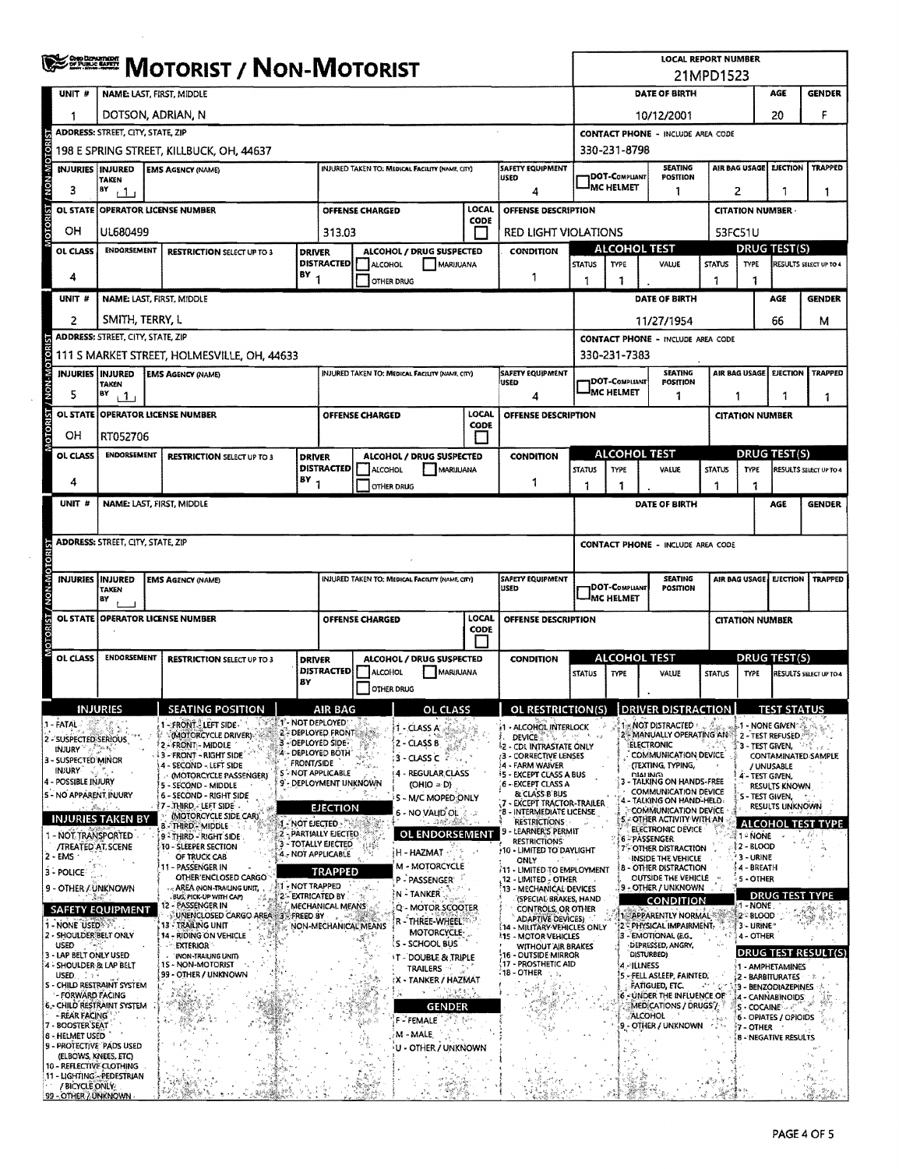| Se puisse arriva                              | <b>MOTORIST / NON-MOTORIST</b>                         |                                                                      |                                                                                    |                                                                             |                                                    |                                                                                |                                                                            | <b>LOCAL REPORT NUMBER</b><br>21MPD1523                                                                       |                                                |                                                              |                     |                                                                   |                                              |                        |  |
|-----------------------------------------------|--------------------------------------------------------|----------------------------------------------------------------------|------------------------------------------------------------------------------------|-----------------------------------------------------------------------------|----------------------------------------------------|--------------------------------------------------------------------------------|----------------------------------------------------------------------------|---------------------------------------------------------------------------------------------------------------|------------------------------------------------|--------------------------------------------------------------|---------------------|-------------------------------------------------------------------|----------------------------------------------|------------------------|--|
| UNIT#                                         |                                                        | <b>NAME: LAST, FIRST, MIDDLE</b>                                     |                                                                                    | <b>DATE OF BIRTH</b>                                                        |                                                    |                                                                                |                                                                            |                                                                                                               | AGE                                            | <b>GENDER</b>                                                |                     |                                                                   |                                              |                        |  |
|                                               |                                                        | DOTSON, ADRIAN, N                                                    |                                                                                    | 20<br>10/12/2001                                                            |                                                    |                                                                                |                                                                            |                                                                                                               |                                                | F                                                            |                     |                                                                   |                                              |                        |  |
|                                               | ADDRESS: STREET, CITY, STATE, ZIP                      |                                                                      |                                                                                    |                                                                             |                                                    |                                                                                |                                                                            | <b>CONTACT PHONE - INCLUDE AREA CODE</b><br>330-231-8798                                                      |                                                |                                                              |                     |                                                                   |                                              |                        |  |
|                                               | <b>INJURIES INJURED</b>                                | 198 E SPRING STREET, KILLBUCK, OH, 44637<br><b>EMS AGENCY (NAME)</b> |                                                                                    |                                                                             | INJURED TAKEN TO: MEDICAL FACILITY (NAME, CITY)    |                                                                                | <b>SAFETY EQUIPMENT</b>                                                    |                                                                                                               |                                                | <b>SEATING</b>                                               |                     | AIR BAG USAGE                                                     | <b>EJECTION</b>                              | <b>TRAPPED</b>         |  |
| з                                             | <b>TAKEN</b><br>BY<br>$+1$                             |                                                                      |                                                                                    |                                                                             | <b>USED</b><br>4                                   |                                                                                | DOT-COMPLIANT<br><sup>J</sup> MC HELMET                                    | POSITION<br>1                                                                                                 |                                                | 2<br>1                                                       |                     |                                                                   |                                              |                        |  |
|                                               |                                                        | OL STATE OPERATOR LICENSE NUMBER                                     |                                                                                    | <b>OFFENSE CHARGED</b>                                                      |                                                    | <b>LOCAL</b>                                                                   | OFFENSE DESCRIPTION                                                        |                                                                                                               |                                                |                                                              |                     | <b>CITATION NUMBER</b>                                            |                                              |                        |  |
| OH                                            | UL680499                                               |                                                                      | 313.03                                                                             |                                                                             |                                                    | CODE                                                                           | <b>RED LIGHT VIOLATIONS</b>                                                |                                                                                                               |                                                |                                                              |                     | 53FC51U                                                           |                                              |                        |  |
| OL CLASS                                      |                                                        | ENDORSEMENT<br><b>RESTRICTION SELECT UP TO 3</b><br><b>DRIVER</b>    |                                                                                    |                                                                             | ALCOHOL / DRUG SUSPECTED                           |                                                                                | <b>CONDITION</b>                                                           |                                                                                                               | <b>ALCOHOL TEST</b>                            |                                                              |                     | <b>DRUG TEST(S)</b>                                               |                                              |                        |  |
| 4                                             |                                                        |                                                                      | <b>DISTRACTED</b><br>BY                                                            | ALCOHOL                                                                     | OTHER DRUG                                         | <b>MARIJUANA</b>                                                               | 1                                                                          | <b>STATUS</b><br>1                                                                                            | <b>TYPE</b><br>1                               | VALUE                                                        | <b>STATUS</b><br>1  | <b>TYPE</b><br>1                                                  |                                              | RESULTS SELECT UP TO 4 |  |
| UNIT #                                        |                                                        | NAME: LAST, FIRST, MIDDLE                                            |                                                                                    |                                                                             |                                                    |                                                                                |                                                                            |                                                                                                               |                                                | DATE OF BIRTH                                                |                     |                                                                   | AGE                                          | <b>GENDER</b>          |  |
| 2                                             | SMITH, TERRY, L                                        |                                                                      |                                                                                    |                                                                             |                                                    |                                                                                |                                                                            |                                                                                                               |                                                | 11/27/1954                                                   |                     |                                                                   | 66                                           | м                      |  |
|                                               | ADDRESS: STREET, CITY, STATE, ZIP                      |                                                                      |                                                                                    |                                                                             |                                                    |                                                                                |                                                                            |                                                                                                               |                                                | <b>CONTACT PHONE - INCLUDE AREA CODE</b>                     |                     |                                                                   |                                              |                        |  |
|                                               |                                                        | 111 S MARKET STREET, HOLMESVILLE, OH, 44633                          |                                                                                    |                                                                             |                                                    |                                                                                |                                                                            |                                                                                                               | 330-231-7383                                   |                                                              |                     |                                                                   |                                              |                        |  |
| 5                                             | <b>INJURIES INJURED</b><br><b>TAKEN</b><br>B٧<br>$+1$  | <b>EMS AGENCY (NAME)</b>                                             |                                                                                    |                                                                             | INJURED TAKEN TO: MEDICAL FACILITY (NAME, CITY)    |                                                                                | <b>SAFETY EQUIPMENT</b><br><b>USED</b><br>4                                |                                                                                                               | <b>DOT-COMPLIANT</b><br><sup>I</sup> MC HELMET | <b>SEATING</b><br><b>POSITION</b><br>1                       |                     | AIR BAG USAGE<br><b>EJECTION</b><br><b>TRAPPED</b><br>1<br>1<br>1 |                                              |                        |  |
| OL STATE                                      |                                                        | <b>OPERATOR LICENSE NUMBER</b>                                       |                                                                                    | OFFENSE CHARGED                                                             |                                                    | <b>LOCAL</b>                                                                   | <b>OFFENSE DESCRIPTION</b>                                                 |                                                                                                               |                                                |                                                              |                     | <b>CITATION NUMBER</b>                                            |                                              |                        |  |
| OН                                            | RT052706                                               |                                                                      |                                                                                    |                                                                             |                                                    | CODE<br>H                                                                      |                                                                            |                                                                                                               |                                                |                                                              |                     |                                                                   |                                              |                        |  |
| OL CLASS                                      | <b>ENDORSEMENT</b>                                     | <b>RESTRICTION SELECT UP TO 3</b>                                    | <b>DRIVER</b>                                                                      |                                                                             | ALCOHOL / DRUG SUSPECTED                           |                                                                                | <b>CONDITION</b>                                                           |                                                                                                               | ALCOHOL TEST                                   |                                                              |                     |                                                                   | <b>DRUG TEST(S)</b>                          |                        |  |
| 4                                             |                                                        |                                                                      | <b>DISTRACTED</b><br>$18Y$ <sub>1</sub>                                            | ALCOHOL<br><b>OTHER DRUG</b>                                                |                                                    | MARIJUANA                                                                      | 1                                                                          | <b>STATUS</b>                                                                                                 | TYPE<br>1                                      | VALUE                                                        | <b>STATUS</b><br>-1 | TYPE                                                              |                                              | RESULTS SELECT UP TO 4 |  |
| UNIT #                                        |                                                        | NAME: LAST, FIRST, MIDDLE                                            |                                                                                    |                                                                             |                                                    |                                                                                |                                                                            | 1                                                                                                             |                                                | DATE OF BIRTH                                                |                     | 1                                                                 | AGE                                          | <b>GENDER</b>          |  |
|                                               |                                                        |                                                                      |                                                                                    |                                                                             |                                                    |                                                                                |                                                                            |                                                                                                               |                                                |                                                              |                     |                                                                   |                                              |                        |  |
|                                               | ADDRESS: STREET, CITY, STATE, ZIP                      |                                                                      |                                                                                    |                                                                             |                                                    |                                                                                |                                                                            |                                                                                                               |                                                | <b>CONTACT PHONE - INCLUDE AREA CODE</b>                     |                     |                                                                   |                                              |                        |  |
|                                               |                                                        |                                                                      |                                                                                    |                                                                             |                                                    |                                                                                |                                                                            |                                                                                                               |                                                |                                                              |                     |                                                                   |                                              |                        |  |
|                                               | <b>INJURIES INJURED</b><br>TAKEN<br>BY                 | <b>EMS AGENCY (NAME)</b>                                             | <b>SAFETY EQUIPMENT</b><br>INJURED TAKEN TO: MEDICAL FACILITY (NAME, CITY)<br>USED |                                                                             |                                                    | <b>SEATING</b><br>(DOT-COMPLIANT)<br><b>POSITION</b><br><sup>I</sup> MC HELMET |                                                                            |                                                                                                               |                                                | AIR BAG USAGE EIECTION<br><b>TRAPPED</b>                     |                     |                                                                   |                                              |                        |  |
| <b>OL STATE</b>                               |                                                        | <b>OPERATOR LICENSE NUMBER</b>                                       |                                                                                    | LOCAL<br>OFFENSE CHARGED<br><b>CODE</b><br>ALCOHOL / DRUG SUSPECTED         |                                                    |                                                                                | OFFENSE DESCRIPTION                                                        |                                                                                                               |                                                |                                                              |                     | <b>CITATION NUMBER</b>                                            |                                              |                        |  |
| OL CLASS                                      | ENDORSEMENT                                            | <b>RESTRICTION SELECT UP TO 3</b>                                    | <b>DRIVER</b>                                                                      |                                                                             |                                                    |                                                                                | <b>CONDITION</b>                                                           |                                                                                                               | ALCOHOL TEST                                   |                                                              |                     | DRUG TEST(S)                                                      |                                              |                        |  |
|                                               |                                                        |                                                                      | <b>DISTRACTED</b><br>BY                                                            | <b>ALCOHOL</b>                                                              | <b>OTHER DRUG</b>                                  | MARUUANA                                                                       |                                                                            | <b>STATUS</b>                                                                                                 | <b>TYPE</b>                                    | VALUE                                                        | <b>STATUS</b>       | TYPE                                                              |                                              | RESULTS SELECT UP TO 4 |  |
|                                               | <b>INJURIES</b>                                        | <b>SEATING POSITION</b>                                              | AIR RAG                                                                            |                                                                             | OL CLASS.                                          |                                                                                | OL RESTRICTION(S) DRIVER DISTRACTION                                       |                                                                                                               |                                                |                                                              |                     |                                                                   | <b>TEST STATIIS</b>                          |                        |  |
| 1 - FATAL                                     |                                                        | 1- FRONT LEFT SIDE.<br>(MOTORCYCLE DRIVER)                           | <b>ALT'- NOT DEPLOYED</b><br>2 - DEPLOYED FRONT                                    |                                                                             | 1 - CLASS A'                                       |                                                                                | 1 - ALCOHOL INTERLOCK                                                      | $n - r$ a                                                                                                     |                                                | - NOT DISTRACTED<br>2 - MANUALLY OPERATING AN                |                     |                                                                   | ., 1 - NONE GIVEN "<br>2 - TEST REFUSED.     |                        |  |
| 2 - SUSPECTED SERIOUS<br>INJURY *             |                                                        | 2 - FRONT - MIDDLE<br><b>3 3 - FRONT - RIGHT SIDE</b>                | 3 - DEPLOYED SIDE-<br>4 - DEPLOYED BOTH'                                           |                                                                             | 2 - CLASS B                                        |                                                                                | <b>DEVICE DEVICE</b><br>2 - CDL INTRASTATE ONLY<br>: 3 - CORRECTIVE LENSES |                                                                                                               |                                                | <b>ELECTRONIC</b><br><b>COMMUNICATION DEVICE</b>             |                     |                                                                   | 3 - TEST GIVEN,<br>CONTAMINATED SAMPLE       |                        |  |
| 3 - SUSPECTED MINOR<br>INJURY                 |                                                        | 4 - SECOND - LEFT SIDE<br>(MOTORCYCLE PASSENGER)                     | <b>FRONT/SIDE</b><br><b>S-NOT APPLICABLE</b>                                       |                                                                             | 3 - CLASS C<br>4 - REGULAR CLASS                   |                                                                                | 4 - FARM WAIVER<br>†5 - EXCEPT CLASS A BUS                                 |                                                                                                               |                                                | (TEXTING, TYPING,<br><b>DIAI ING)</b>                        |                     |                                                                   | / UNUSABLE<br>4 - TEST GIVEN,                |                        |  |
| 4 - POSSIBLE INJURY<br>5 - NO APPARENT INJURY |                                                        | 5 - SECOND - MIDDLE<br>6 - SECOND - RIGHT SIDE                       | 9'- DEPLOYMENT UNKNOWN                                                             |                                                                             | (OHIO = D)<br>S - M/C MOPED ONLY                   |                                                                                | 6 - EXCEPT CLASS A<br>& CLASS B BUS                                        |                                                                                                               |                                                | - TALKING ON HANDS-FREE<br><b>COMMUNICATION DEVICE</b>       |                     |                                                                   | <b>RESULTS KNOWN</b><br>S - TEST GIVEN.      |                        |  |
|                                               | tt Assin                                               | <b>17 - THIRD. LEFT SIDE.</b><br>(MOTORCYCLE SIDE CAR)               | <b>EJECTION</b>                                                                    |                                                                             | 6 - NO VALID OL                                    |                                                                                | .7 - EXCEPT TRACTOR-TRAILER<br>'B - INTERMEDIATE LICENSE                   |                                                                                                               |                                                | 4 - TALKING ON HAND-HELD:<br>COMMUNICATION DEVICE            |                     |                                                                   | <b>RESULTS UNKNOWN</b>                       |                        |  |
| 1 - NOT TRANSPORTED                           | <b>INJURIES TAKEN BY</b>                               | 8 - THIRD - MIDDLE<br>9 - THIRD - RIGHT SIDE                         | $4$ - Not ejected $_3$<br>2 - PARTIALLY EJECTED                                    |                                                                             | <b>OL ENDORSEMENT</b>                              |                                                                                | <b>RESTRICTIONS</b><br>- LEARNER'S PERMIT                                  |                                                                                                               |                                                | - OTHER ACTIVITY WITH AN<br>ELECTRONIC DEVICE<br>6-PASSENGER |                     | 1 - NONE                                                          | <b>ALCOHOL TEST TYPE</b>                     |                        |  |
| <b>/TREATED AT SCENE</b><br>$2 - EMS$         |                                                        | <b>10 - SLEEPER SECTION</b><br>OF TRUCK CAB                          | 3 - TOTALLY EJECTED<br>4 - NOT APPLICABLE                                          |                                                                             | }H - HAZMAT                                        |                                                                                | <b>RESTRICTIONS</b><br>10 - LIMITED TO DAYLIGHT                            |                                                                                                               |                                                | 7 - OTHER DISTRACTION<br>INSIDE THE VEHICLE                  |                     | 2 - BLOOD<br>3 - URINE                                            |                                              |                        |  |
| 3 - POLICE                                    |                                                        | 11 - PASSENGER IN<br>OTHER'ENCLOSED CARGO                            | <b>TRAPPED</b>                                                                     |                                                                             | M - MOTORCYCLE<br>P - PASSENGER'                   |                                                                                | <b>ONLY</b><br>- LIMITED TO EMPLOYMENT<br>111<br>12 - LIMITED - OTHER      |                                                                                                               |                                                | <b>B - OTHER DISTRACTION</b><br>OUTSIDE THE VEHICLE          |                     | é 4 - BREATH<br><b>5 - OTHER</b>                                  |                                              |                        |  |
| 9 - OTHER / UNKNOWN                           | <b>26797</b>                                           | <b>AREA (NON-TRAILING UNIT,</b><br><b>BUS, PICK-UP WITH CAP)</b>     | <b>A1 - NOT TRAPPED</b><br>2 - EXTRICATED BY                                       |                                                                             | N - TANKER                                         |                                                                                | 13 - MECHANICAL DEVICES<br>(SPECIAL BRAKES, HAND                           |                                                                                                               |                                                | . 9 - OTHER / UNKNOWN                                        |                     |                                                                   | <b>DRUG TEST TYPE</b>                        |                        |  |
|                                               | <b>SAFETY EQUIPMENT</b>                                | 12 - PASSENGER IN<br>UNENCLOSED CARGO AREA 3 S FREED BY              | MECHANICAL MEANS                                                                   |                                                                             | Q - MOTOR SCOOTER                                  |                                                                                | <b>CONTROLS, OR OTHER</b>                                                  |                                                                                                               |                                                | CONDITION<br>1 - APPARENTLY NORMAL **                        |                     | 1 - NONE<br>2-8LOOD                                               |                                              |                        |  |
| 1 - NONE USED 37<br>2 - SHOULDER BELT ONLY    |                                                        | 13 - TRAILING UNIT<br>14 - RIDING ON VEHICLE                         |                                                                                    | R - THREE-WHEEL <sup>187</sup><br>NON-MECHANICAL MEANS<br><b>MOTORCYCLE</b> |                                                    |                                                                                | <b>15 - MOTOR VEHICLES</b>                                                 | <b>ADAPTIVE DEVICES)</b><br>2 PHYSICAL IMPAIRMENT.<br>14 - MILITARY VEHICLES ONLY<br>- EMOTIONAL (E.G.,<br>13 |                                                |                                                              |                     | 3 - URINE-<br>4 - OTHER                                           |                                              |                        |  |
| USED<br>3 - LAP BELT ONLY USED                |                                                        | <b>EXTERIOR</b><br><b>INON-TRAILING UNIT)</b>                        |                                                                                    |                                                                             | IS - SCHOOL BUS<br><b>IT - DOUBLE &amp; TRIPLE</b> |                                                                                | WITHOUT AIR BRAKES<br>16 - OUTSIDE MIRROR                                  | DEPRESSED, ANGRY,<br><b>CISTURBED)</b>                                                                        |                                                |                                                              |                     | DRUG TEST RESULT(S)                                               |                                              |                        |  |
| 4 - SHOULDER & LAP BELT<br>$USED, \quad 2.64$ |                                                        | 15 - NON-MOTORIST<br>99 - OTHER / UNKNOWN                            |                                                                                    |                                                                             | <b>TRAILERS</b><br>(X - TANKER / HAZMAT            |                                                                                | 17 - PROSTHETIC AID<br>-18 - OTHER<br>τb.                                  |                                                                                                               |                                                | 4 - ILLNESS<br>5 - FELL ASLEEP, FAINTED,                     |                     |                                                                   | 1 - AMPHETAMINES<br>2 - BARBITURATES         |                        |  |
| - FORWARD FACING                              | S - CHILD RESTRAINT SYSTEM                             |                                                                      |                                                                                    |                                                                             | ・「恐惧魅力                                             |                                                                                |                                                                            |                                                                                                               |                                                | FATIGUED, ETC.<br>6 - UNDER THE INFLUENCE OF                 |                     |                                                                   | 3 - BENZODIAZEPINES<br>4 - CANNABINOIDS      |                        |  |
| - REAR FACING                                 | 6 - CHILD RESTRAINT SYSTEM                             |                                                                      |                                                                                    |                                                                             | GENDER<br>F-FEMALE                                 | ್ಡಿಎಂ                                                                          |                                                                            |                                                                                                               |                                                | MEDICATIONS / DRUGS /<br>ALCOHOL                             |                     |                                                                   | S - COCAINE - - - -<br>6 - OPIATES / OPIOIDS |                        |  |
| 7 - BOOSTER SEAT<br>8 - HELMET USED           |                                                        |                                                                      |                                                                                    |                                                                             | M - MALE,                                          |                                                                                |                                                                            |                                                                                                               |                                                | 9 - OTHER / UNKNOWN                                          |                     | $7 -$ OTHER                                                       | 8 - NEGATIVE RESULTS                         |                        |  |
|                                               | 9 - PROTECTIVE PADS USED<br>(ELBOWS, KNEES, ETC)       |                                                                      |                                                                                    |                                                                             | U - OTHER / UNKNOWN                                |                                                                                |                                                                            |                                                                                                               |                                                |                                                              |                     |                                                                   |                                              |                        |  |
|                                               |                                                        |                                                                      |                                                                                    |                                                                             |                                                    |                                                                                |                                                                            |                                                                                                               |                                                |                                                              |                     |                                                                   |                                              |                        |  |
| / BICYCLE ONLY                                | 10 - REFLECTIVE CLOTHING<br>11 - LIGHTING - PEDESTRIAN |                                                                      |                                                                                    |                                                                             |                                                    |                                                                                |                                                                            |                                                                                                               |                                                |                                                              |                     |                                                                   |                                              |                        |  |

 $\sim$ 

 $\sim$   $\epsilon$